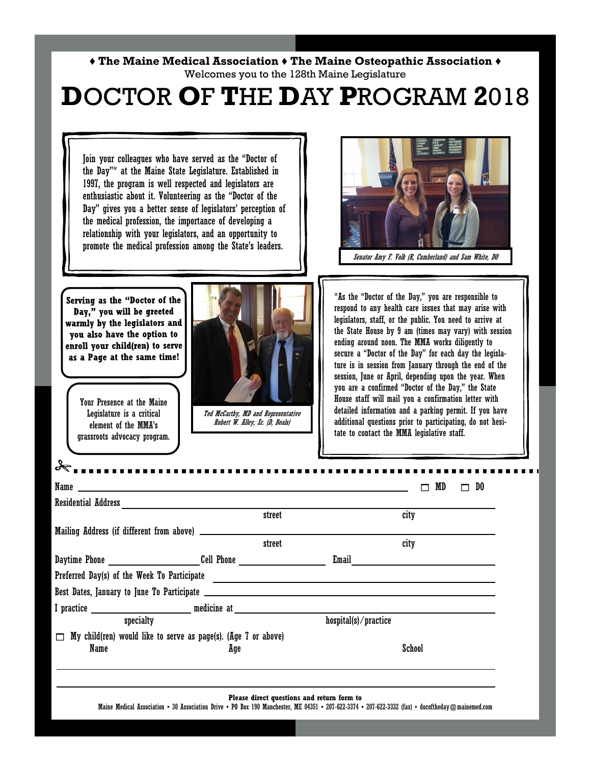## **♦ The Maine Medical Association ♦ The Maine Osteopathic Association ♦**  Welcomes you to the 128th Maine Legislature

## **D**OCTOR **O**F **T**HE **D**AY **P**ROGRAM **2**018

Join your colleagues who have served as the "Doctor of the Day"\* at the Maine State Legislature. Established in 1997, the program is well respected and legislators are enthusiastic about it. Volunteering as the "Doctor of the Day" gives you a better sense of legislators' perception of the medical profession, the importance of developing a relationship with your legislators, and an opportunity to promote the medical profession among the State's leaders. Senator Amy F. Volk (R, Cumberland) and Sam White, DO \*As the "Doctor of the Day," you are responsible to Serving as the "Doctor of the respond to any health care issues that may arise with Day," you will be greeted legislators, staff, or the public. You need to arrive at warmly by the legislators and the State House by 9 am (times may vary) with session you also have the option to ending around noon. The MMA works diligently to enroll your child(ren) to serve secure a "Doctor of the Day" for each day the legislaas a Page at the same time! ture is in session from January through the end of the session, June or April, depending upon the year. When you are a confirmed "Doctor of the Day," the State House staff will mail you a confirmation letter with Your Presence at the Maine detailed information and a parking permit. If you have Legislature is a critical Ted McCarthy, MD and Representative additional questions prior to participating, do not hesi-Robert W. Alley, Sr. (D, Beals) element of the MMA's tate to contact the MMA legislative staff. grassroots advocacy program. Name  $\Box$  MD  $\Box$  DO Residential Address street city Mailing Address (if different from above) street city Daytime Phone \_\_\_\_\_\_\_\_\_\_\_\_\_\_\_\_\_\_\_\_\_\_\_\_Cell Phone \_\_\_\_\_\_\_\_\_\_\_\_\_\_\_\_\_\_\_\_\_\_\_\_\_\_\_\_\_\_\_\_ Email Preferred Day(s) of the Week To Participate Best Dates, January to June To Participate I practice \_\_\_\_\_\_\_\_\_\_\_\_\_\_\_\_\_\_\_\_\_\_\_\_\_\_\_\_\_\_\_ medicine at \_\_\_\_\_\_\_\_\_\_\_\_\_\_\_\_\_\_\_\_\_\_\_\_\_ specialty hospital(s) / practice  $\Box$  My child(ren) would like to serve as page(s). (Age 7 or above) Name School **Age School Please direct questions and return form to**  Maine Medical Association • 30 Association Drive • PO Box 190 Manchester, ME 04351 • 207-622-3374 • 207-622-3332 (fax) • docoftheday @mainemed.com